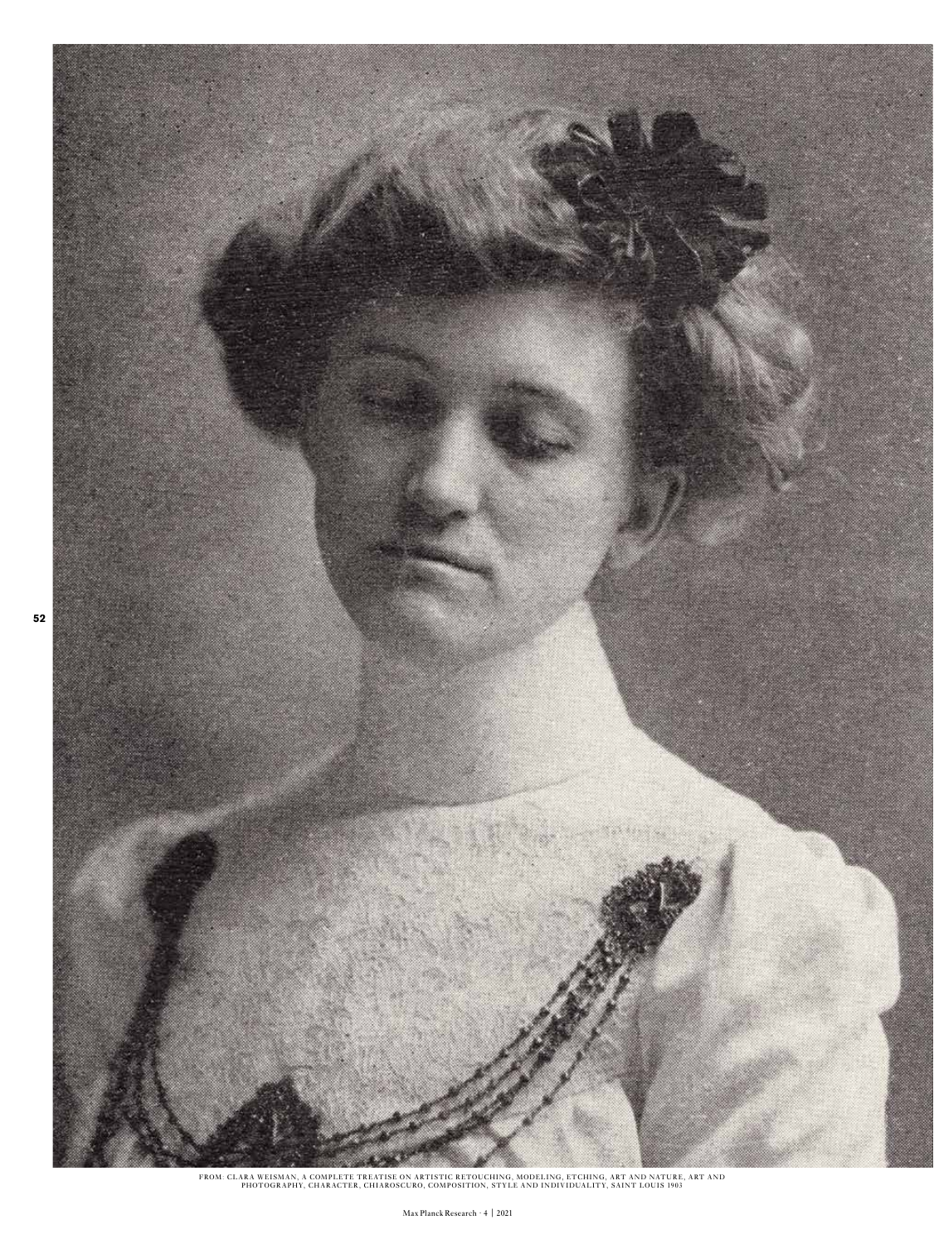

FROM: CLARA WEISMAN, A COMPLETE TREATISE ON ARTISTIC RETOUCHING, MODELING, ETCHING, ART AND NATURE, ART AND<br>PHOTOGRAPHY, CHARACTER, CHIAROSCURO, COMPOSITION, STYLE AND INDIVIDUALITY, SAINT LOUIS 1903